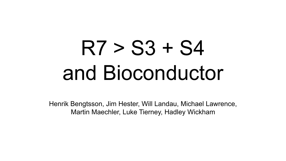# R7 > S3 + S4 and Bioconductor

Henrik Bengtsson, Jim Hester, Will Landau, Michael Lawrence, Martin Maechler, Luke Tierney, Hadley Wickham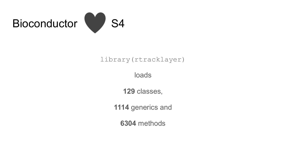

#### library(rtracklayer)

loads

**129** classes,

**1114** generics and

**6304** methods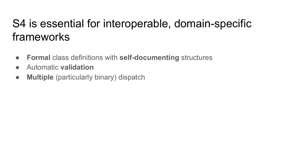### S4 is essential for interoperable, domain-specific frameworks

- **Formal** class definitions with **self-documenting** structures
- Automatic **validation**
- **Multiple** (particularly binary) dispatch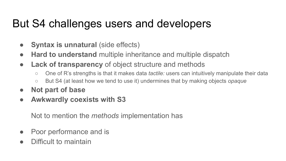#### But S4 challenges users and developers

- **Syntax is unnatural** (side effects)
- **Hard to understand** multiple inheritance and multiple dispatch
- **Lack of transparency** of object structure and methods
	- One of R's strengths is that it makes data *tactile:* users can intuitively manipulate their data
	- But S4 (at least how we tend to use it) undermines that by making objects *opaque*
- **Not part of base**
- **● Awkwardly coexists with S3**

Not to mention the *methods* implementation has

- Poor performance and is
- Difficult to maintain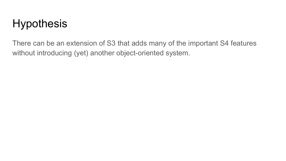### **Hypothesis**

There can be an extension of S3 that adds many of the important S4 features without introducing (yet) another object-oriented system.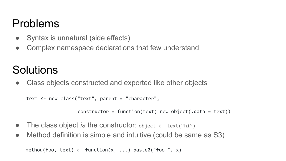#### Problems

- Syntax is unnatural (side effects)
- Complex namespace declarations that few understand

# **Solutions**

• Class objects constructed and exported like other objects

```
text \langle- new class("text", parent = "character",
```

```
 constructor = function(text) new_object(.data = text))
```
- The class object *is* the constructor: object <- text("hi")
- Method definition is simple and intuitive (could be same as S3)

```
method(foo, text) <- function(x, ...) paste0("foo-", x)
```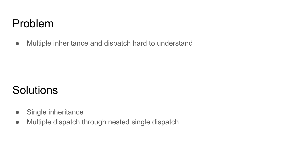#### Problem

● Multiple inheritance and dispatch hard to understand

### **Solutions**

- Single inheritance
- Multiple dispatch through nested single dispatch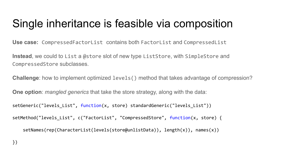#### Single inheritance is feasible via composition

**Use case:** CompressedFactorList contains both FactorList and CompressedList

**Instead**, we could to List a @store slot of new type ListStore, with SimpleStore and CompressedStore subclasses.

**Challenge**: how to implement optimized levels() method that takes advantage of compression?

**One option**: *mangled generics* that take the store strategy, along with the data:

```
setGeneric("levels List", function(x, store) standardGeneric("levels List"))
```

```
setMethod("levels List", c("FactorList", "CompressedStore", function(x, store) {
```

```
setNames(rep(CharacterList(levels(store@unlistData)), length(x)), names(x))
```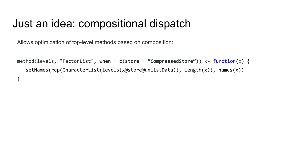#### Just an idea: compositional dispatch

Allows optimization of top-level methods based on composition:

}

```
method(levels, "FactorList", when = c(store = "CompressedStore")) <- function(x) {
   setNames(rep(CharacterList(levels(x@store@unlistData)), length(x)), names(x))
```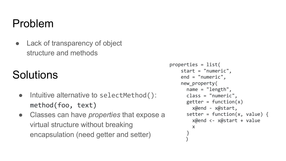#### Problem

• Lack of transparency of object structure and methods

## **Solutions**

- Intuitive alternative to selectMethod(): method(foo, text)
- Classes can have *properties* that expose a virtual structure without breaking encapsulation (need getter and setter)

```
properties = list(
    start = "numeric",
    end = "numeric",
    new_property(
       name = "length",
       class = "numeric",
      getter = function(x) x@end - x@start,
      setter = function(x, value) {
         x@end <- x@start + value
         x
}
 \left( \begin{array}{cc} \end{array} \right)
```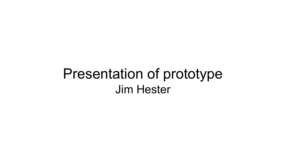# Presentation of prototype Jim Hester